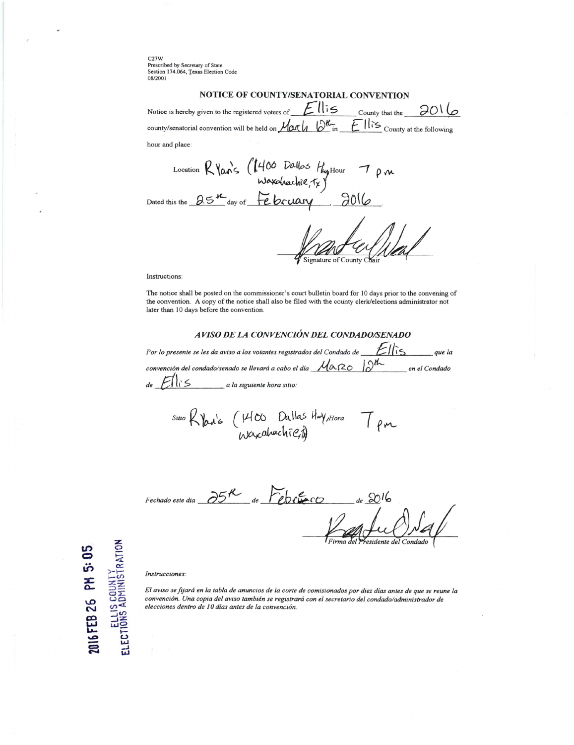$C27W$ Prescribed by Secretary of State Section 174.064, Texas Election Code 08/2001

## NOTICE OF COUNTY/SENATORIAL CONVENTION

Notice is hereby given to the registered voters of  $E\mathbb{R}$   $\sim$  County that the  $\partial$ O  $\n *Markovian* \n *E* \n *llis* \n *Country at the following*$ county/senatorial convention will be held on

hour and place:

Location R Varis (1400 Dallos Hystour 7 pm

Signature of County Chai

Instructions:

The notice shall be posted on the commissioner's court bulletin board for 10 days prior to the convening of the convention. A copy of the notice shall also be filed with the county clerk/elections administrator not later than 10 days before the convention.

## AVISO DE LA CONVENCIÓN DEL CONDADO/SENADO

Por lo presente se les da aviso a los votantes registrados del Condado de  $\mathbb{Z}$  $que la$ convención del condado/senado se llevará a cabo el día  $\mathcal{M}_{\alpha\alpha\beta}$ en el Condado  $E$ lis a la siguiente hora sitio:  $de$ 

sino Ryan's (1400 Dallas Hay, Hora T pm

Fechado este dia  $\partial 5^{\prime\prime}$  de  $\Gamma$ ebeurco  $_{de}$  2016

## Instrucciones:

ELECTIONS ADMINISTRATION

PH 5:05

2016 FEB 26

El aviso se fijará en la tabla de anuncios de la corte de comisionados por diez días antes de que se reune la convención. Una copia del aviso también se registrará con el secretario del condado/administrador de elecciones dentro de 10 días antes de la convención.